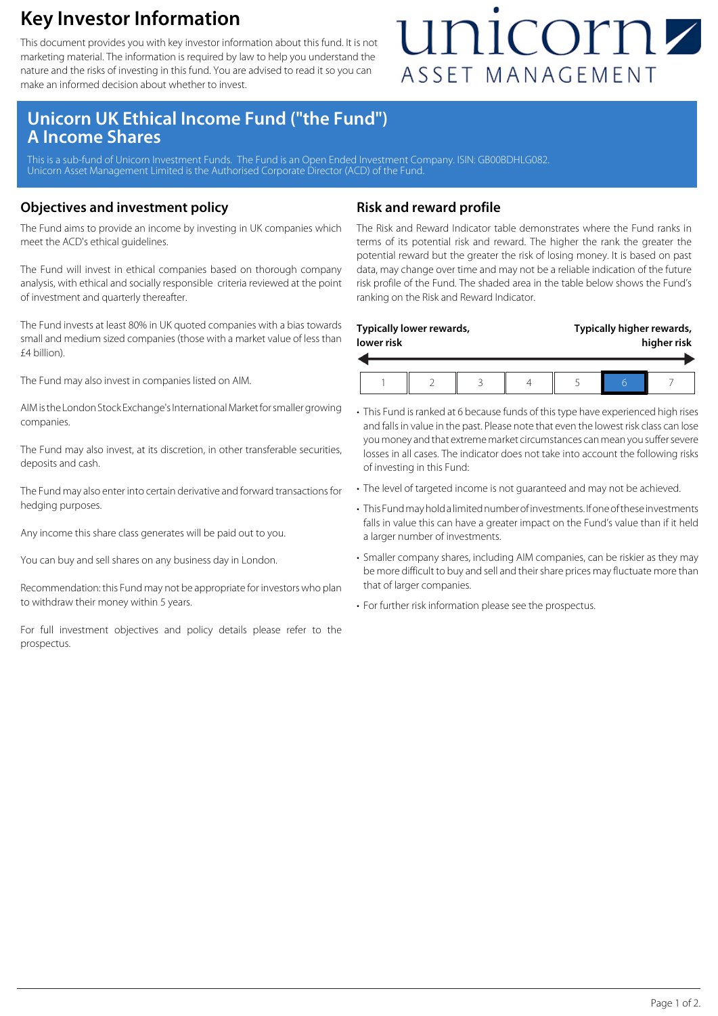### **Key Investor Information**

This document provides you with key investor information about this fund. It is not marketing material. The information is required by law to help you understand the nature and the risks of investing in this fund. You are advised to read it so you can make an informed decision about whether to invest.

## unicornz ASSET MANAGEMENT

### **Unicorn UK Ethical Income Fund ("the Fund") A Income Shares**

This is a sub-fund of Unicorn Investment Funds. The Fund is an Open Ended Investment Company. ISIN: GB00BDHLG082 Unicorn Asset Management Limited is the Authorised Corporate Director (ACD) of the Fund.

### **Objectives and investment policy**

The Fund aims to provide an income by investing in UK companies which meet the ACD's ethical guidelines.

The Fund will invest in ethical companies based on thorough company analysis, with ethical and socially responsible criteria reviewed at the point of investment and quarterly thereafter.

The Fund invests at least 80% in UK quoted companies with a bias towards small and medium sized companies (those with a market value of less than £4 billion).

The Fund may also invest in companies listed on AIM.

AIM is the London Stock Exchange's International Market for smaller growing companies.

The Fund may also invest, at its discretion, in other transferable securities, deposits and cash.

The Fund may also enter into certain derivative and forward transactions for hedging purposes.

Any income this share class generates will be paid out to you.

You can buy and sell shares on any business day in London.

Recommendation: this Fund may not be appropriate for investors who plan to withdraw their money within 5 years.

For full investment objectives and policy details please refer to the prospectus.

### **Risk and reward profile**

The Risk and Reward Indicator table demonstrates where the Fund ranks in terms of its potential risk and reward. The higher the rank the greater the potential reward but the greater the risk of losing money. It is based on past data, may change over time and may not be a reliable indication of the future risk profile of the Fund. The shaded area in the table below shows the Fund's ranking on the Risk and Reward Indicator.

| lower risk | Typically lower rewards, |  | Typically higher rewards,<br>higher risk |  |  |
|------------|--------------------------|--|------------------------------------------|--|--|
|            |                          |  |                                          |  |  |

- This Fund is ranked at 6 because funds of this type have experienced high rises and falls in value in the past. Please note that even the lowest risk class can lose you money and that extreme market circumstances can mean you suffer severe losses in all cases. The indicator does not take into account the following risks of investing in this Fund:
- The level of targeted income is not guaranteed and may not be achieved.
- This Fund may hold a limited number of investments. If one of these investments falls in value this can have a greater impact on the Fund's value than if it held a larger number of investments.
- Smaller company shares, including AIM companies, can be riskier as they may be more difficult to buy and sell and their share prices may fluctuate more than that of larger companies.
- For further risk information please see the prospectus.